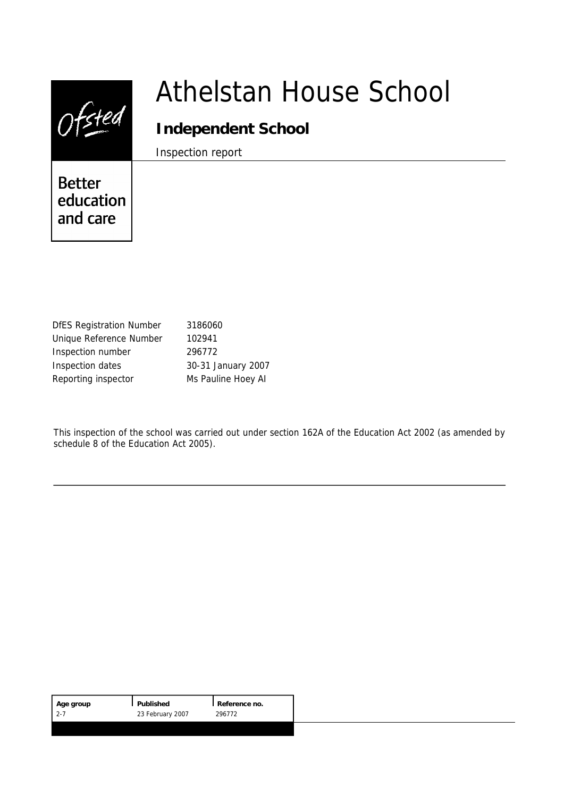|                                        | Athelstan House School |
|----------------------------------------|------------------------|
|                                        | Independent School     |
| <b>Better</b><br>education<br>and care | Inspection report      |
|                                        |                        |

| <b>DfES Registration Number</b> | 3186060            |
|---------------------------------|--------------------|
| Unique Reference Number         | 102941             |
| Inspection number               | 296772             |
| Inspection dates                | 30-31 January 2007 |
| Reporting inspector             | Ms Pauline Hoey AI |

This inspection of the school was carried out under section 162A of the Education Act 2002 (as amended by schedule 8 of the Education Act 2005).

| Age group | Published        | Reference no. |
|-----------|------------------|---------------|
| $12 - 7$  | 23 February 2007 | 296772        |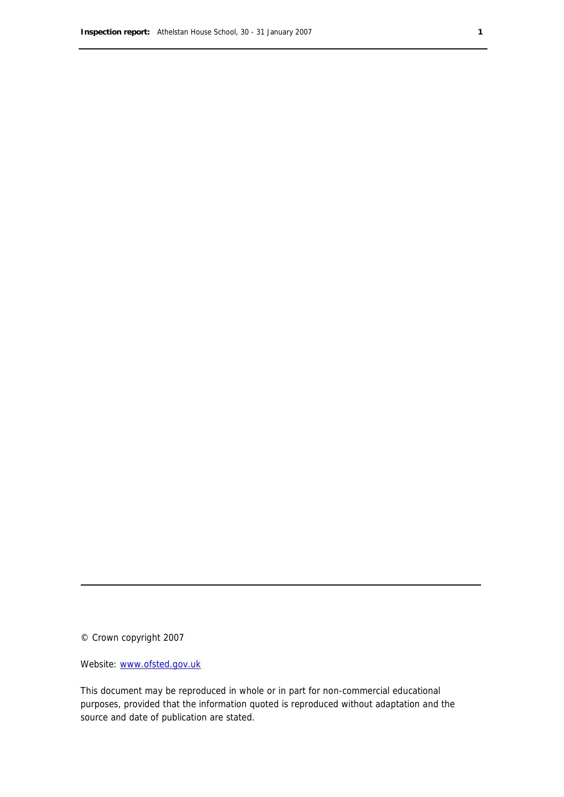© Crown copyright 2007

Website: www.ofsted.gov.uk

This document may be reproduced in whole or in part for non-commercial educational purposes, provided that the information quoted is reproduced without adaptation and the source and date of publication are stated.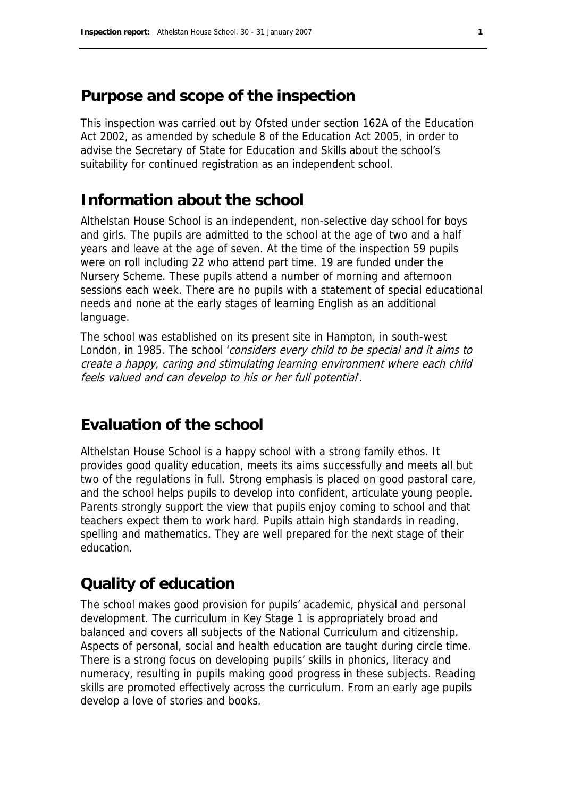# **Purpose and scope of the inspection**

This inspection was carried out by Ofsted under section 162A of the Education Act 2002, as amended by schedule 8 of the Education Act 2005, in order to advise the Secretary of State for Education and Skills about the school's suitability for continued registration as an independent school.

# **Information about the school**

Althelstan House School is an independent, non-selective day school for boys and girls. The pupils are admitted to the school at the age of two and a half years and leave at the age of seven. At the time of the inspection 59 pupils were on roll including 22 who attend part time. 19 are funded under the Nursery Scheme. These pupils attend a number of morning and afternoon sessions each week. There are no pupils with a statement of special educational needs and none at the early stages of learning English as an additional language.

The school was established on its present site in Hampton, in south-west London, in 1985. The school 'considers every child to be special and it aims to create a happy, caring and stimulating learning environment where each child feels valued and can develop to his or her full potential.

# **Evaluation of the school**

Althelstan House School is a happy school with a strong family ethos. It provides good quality education, meets its aims successfully and meets all but two of the regulations in full. Strong emphasis is placed on good pastoral care, and the school helps pupils to develop into confident, articulate young people. Parents strongly support the view that pupils enjoy coming to school and that teachers expect them to work hard. Pupils attain high standards in reading, spelling and mathematics. They are well prepared for the next stage of their education.

# **Quality of education**

The school makes good provision for pupils' academic, physical and personal development. The curriculum in Key Stage 1 is appropriately broad and balanced and covers all subjects of the National Curriculum and citizenship. Aspects of personal, social and health education are taught during circle time. There is a strong focus on developing pupils' skills in phonics, literacy and numeracy, resulting in pupils making good progress in these subjects. Reading skills are promoted effectively across the curriculum. From an early age pupils develop a love of stories and books.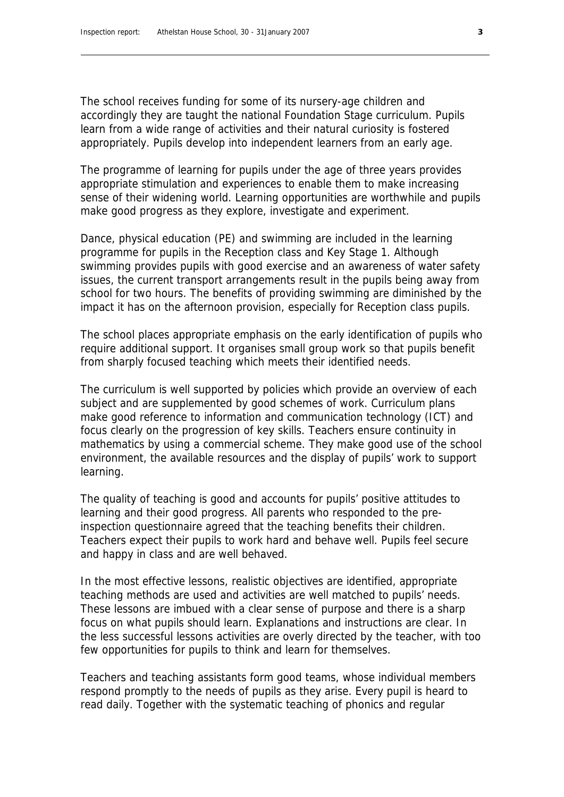The school receives funding for some of its nursery-age children and accordingly they are taught the national Foundation Stage curriculum. Pupils learn from a wide range of activities and their natural curiosity is fostered appropriately. Pupils develop into independent learners from an early age.

The programme of learning for pupils under the age of three years provides appropriate stimulation and experiences to enable them to make increasing sense of their widening world. Learning opportunities are worthwhile and pupils make good progress as they explore, investigate and experiment.

Dance, physical education (PE) and swimming are included in the learning programme for pupils in the Reception class and Key Stage 1. Although swimming provides pupils with good exercise and an awareness of water safety issues, the current transport arrangements result in the pupils being away from school for two hours. The benefits of providing swimming are diminished by the impact it has on the afternoon provision, especially for Reception class pupils.

The school places appropriate emphasis on the early identification of pupils who require additional support. It organises small group work so that pupils benefit from sharply focused teaching which meets their identified needs.

The curriculum is well supported by policies which provide an overview of each subject and are supplemented by good schemes of work. Curriculum plans make good reference to information and communication technology (ICT) and focus clearly on the progression of key skills. Teachers ensure continuity in mathematics by using a commercial scheme. They make good use of the school environment, the available resources and the display of pupils' work to support learning.

The quality of teaching is good and accounts for pupils' positive attitudes to learning and their good progress. All parents who responded to the preinspection questionnaire agreed that the teaching benefits their children. Teachers expect their pupils to work hard and behave well. Pupils feel secure and happy in class and are well behaved.

In the most effective lessons, realistic objectives are identified, appropriate teaching methods are used and activities are well matched to pupils' needs. These lessons are imbued with a clear sense of purpose and there is a sharp focus on what pupils should learn. Explanations and instructions are clear. In the less successful lessons activities are overly directed by the teacher, with too few opportunities for pupils to think and learn for themselves.

Teachers and teaching assistants form good teams, whose individual members respond promptly to the needs of pupils as they arise. Every pupil is heard to read daily. Together with the systematic teaching of phonics and regular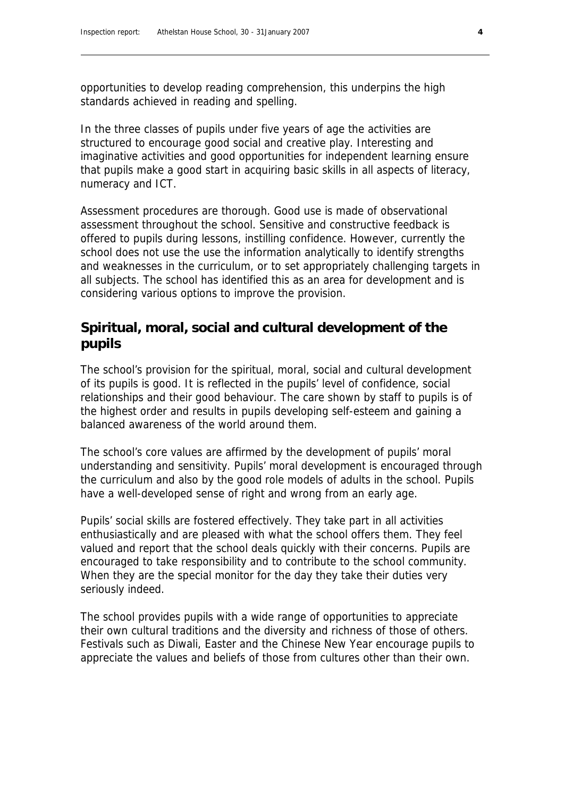opportunities to develop reading comprehension, this underpins the high standards achieved in reading and spelling.

In the three classes of pupils under five years of age the activities are structured to encourage good social and creative play. Interesting and imaginative activities and good opportunities for independent learning ensure that pupils make a good start in acquiring basic skills in all aspects of literacy, numeracy and ICT.

Assessment procedures are thorough. Good use is made of observational assessment throughout the school. Sensitive and constructive feedback is offered to pupils during lessons, instilling confidence. However, currently the school does not use the use the information analytically to identify strengths and weaknesses in the curriculum, or to set appropriately challenging targets in all subjects. The school has identified this as an area for development and is considering various options to improve the provision.

### **Spiritual, moral, social and cultural development of the pupils**

The school's provision for the spiritual, moral, social and cultural development of its pupils is good. It is reflected in the pupils' level of confidence, social relationships and their good behaviour. The care shown by staff to pupils is of the highest order and results in pupils developing self-esteem and gaining a balanced awareness of the world around them.

The school's core values are affirmed by the development of pupils' moral understanding and sensitivity. Pupils' moral development is encouraged through the curriculum and also by the good role models of adults in the school. Pupils have a well-developed sense of right and wrong from an early age.

Pupils' social skills are fostered effectively. They take part in all activities enthusiastically and are pleased with what the school offers them. They feel valued and report that the school deals quickly with their concerns. Pupils are encouraged to take responsibility and to contribute to the school community. When they are the special monitor for the day they take their duties very seriously indeed.

The school provides pupils with a wide range of opportunities to appreciate their own cultural traditions and the diversity and richness of those of others. Festivals such as Diwali, Easter and the Chinese New Year encourage pupils to appreciate the values and beliefs of those from cultures other than their own.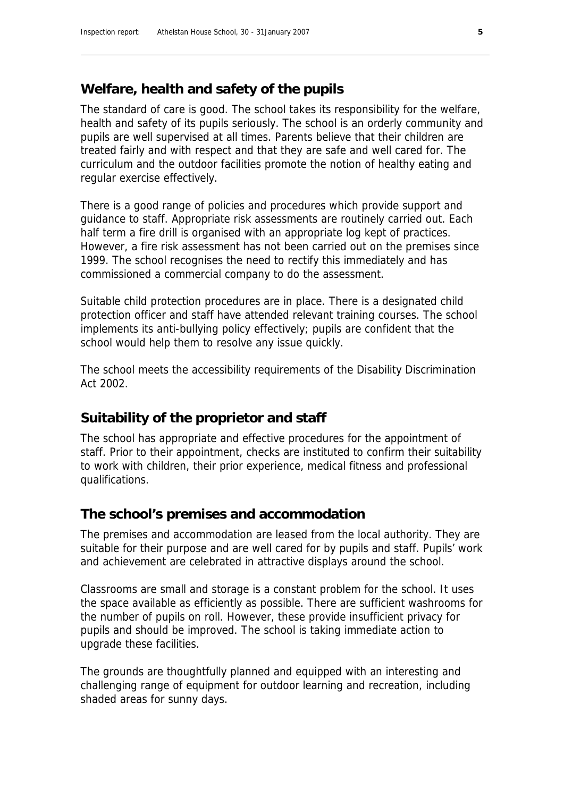### **Welfare, health and safety of the pupils**

The standard of care is good. The school takes its responsibility for the welfare, health and safety of its pupils seriously. The school is an orderly community and pupils are well supervised at all times. Parents believe that their children are treated fairly and with respect and that they are safe and well cared for. The curriculum and the outdoor facilities promote the notion of healthy eating and regular exercise effectively.

There is a good range of policies and procedures which provide support and guidance to staff. Appropriate risk assessments are routinely carried out. Each half term a fire drill is organised with an appropriate log kept of practices. However, a fire risk assessment has not been carried out on the premises since 1999. The school recognises the need to rectify this immediately and has commissioned a commercial company to do the assessment.

Suitable child protection procedures are in place. There is a designated child protection officer and staff have attended relevant training courses. The school implements its anti-bullying policy effectively; pupils are confident that the school would help them to resolve any issue quickly.

The school meets the accessibility requirements of the Disability Discrimination Act 2002.

#### **Suitability of the proprietor and staff**

The school has appropriate and effective procedures for the appointment of staff. Prior to their appointment, checks are instituted to confirm their suitability to work with children, their prior experience, medical fitness and professional qualifications.

#### **The school's premises and accommodation**

The premises and accommodation are leased from the local authority. They are suitable for their purpose and are well cared for by pupils and staff. Pupils' work and achievement are celebrated in attractive displays around the school.

Classrooms are small and storage is a constant problem for the school. It uses the space available as efficiently as possible. There are sufficient washrooms for the number of pupils on roll. However, these provide insufficient privacy for pupils and should be improved. The school is taking immediate action to upgrade these facilities.

The grounds are thoughtfully planned and equipped with an interesting and challenging range of equipment for outdoor learning and recreation, including shaded areas for sunny days.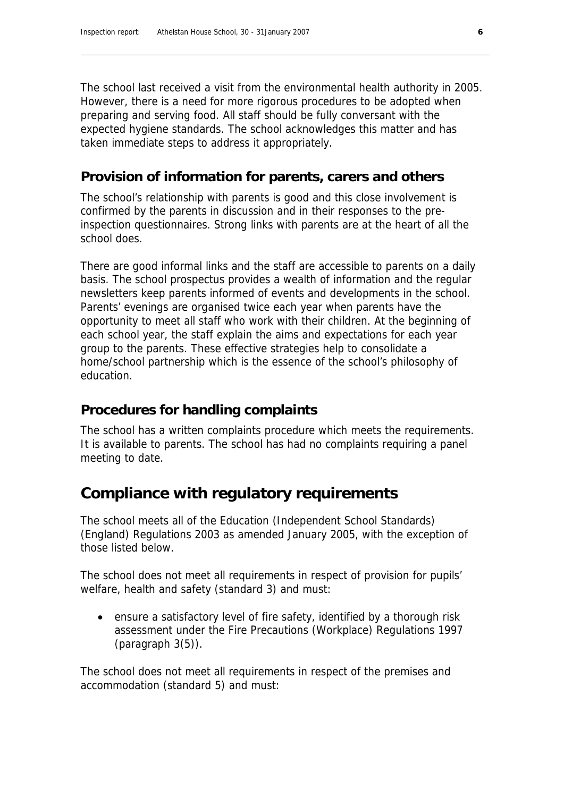The school last received a visit from the environmental health authority in 2005. However, there is a need for more rigorous procedures to be adopted when preparing and serving food. All staff should be fully conversant with the expected hygiene standards. The school acknowledges this matter and has taken immediate steps to address it appropriately.

### **Provision of information for parents, carers and others**

The school's relationship with parents is good and this close involvement is confirmed by the parents in discussion and in their responses to the preinspection questionnaires. Strong links with parents are at the heart of all the school does.

There are good informal links and the staff are accessible to parents on a daily basis. The school prospectus provides a wealth of information and the regular newsletters keep parents informed of events and developments in the school. Parents' evenings are organised twice each year when parents have the opportunity to meet all staff who work with their children. At the beginning of each school year, the staff explain the aims and expectations for each year group to the parents. These effective strategies help to consolidate a home/school partnership which is the essence of the school's philosophy of education.

### **Procedures for handling complaints**

The school has a written complaints procedure which meets the requirements. It is available to parents. The school has had no complaints requiring a panel meeting to date.

# **Compliance with regulatory requirements**

The school meets all of the Education (Independent School Standards) (England) Regulations 2003 as amended January 2005, with the exception of those listed below.

The school does not meet all requirements in respect of provision for pupils' welfare, health and safety (standard 3) and must:

 ensure a satisfactory level of fire safety, identified by a thorough risk assessment under the Fire Precautions (Workplace) Regulations 1997 (paragraph 3(5)).

The school does not meet all requirements in respect of the premises and accommodation (standard 5) and must: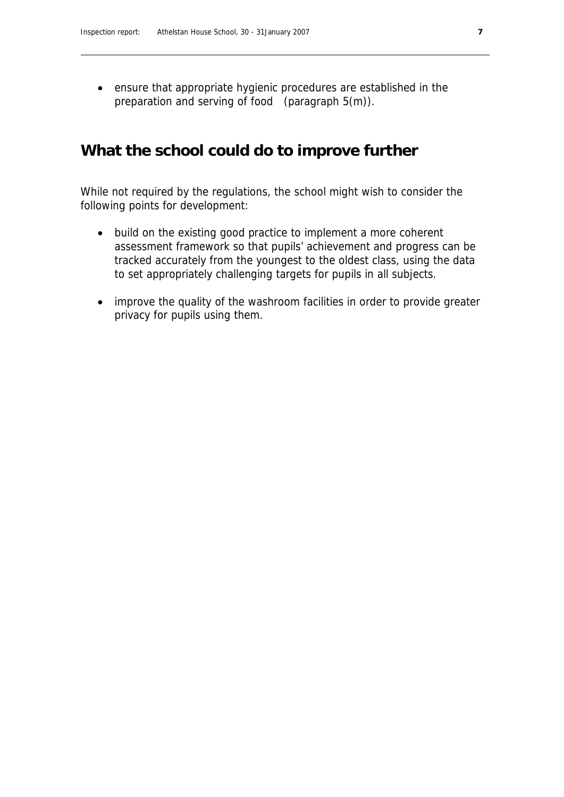ensure that appropriate hygienic procedures are established in the preparation and serving of food (paragraph 5(m)).

### **What the school could do to improve further**

While not required by the regulations, the school might wish to consider the following points for development:

- build on the existing good practice to implement a more coherent assessment framework so that pupils' achievement and progress can be tracked accurately from the youngest to the oldest class, using the data to set appropriately challenging targets for pupils in all subjects.
- improve the quality of the washroom facilities in order to provide greater privacy for pupils using them.